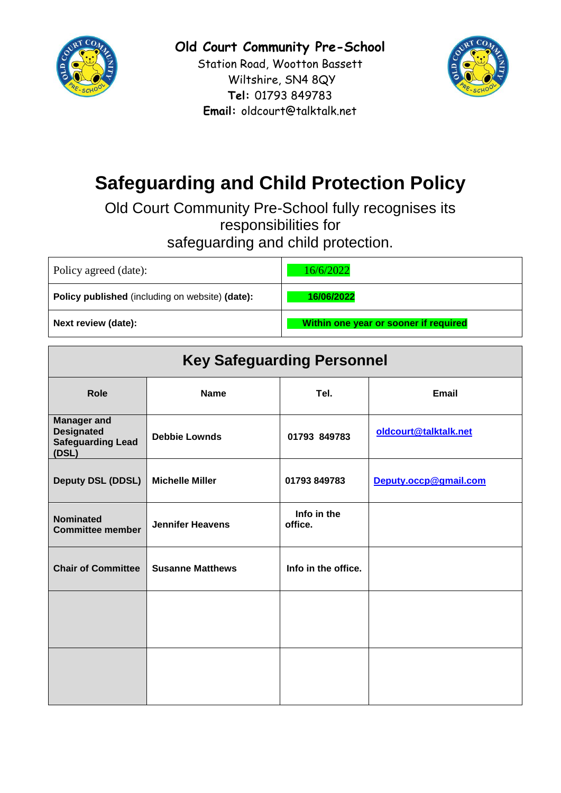

**Old Court Community Pre-School**

Station Road, Wootton Bassett Wiltshire, SN4 8QY **Tel:** 01793 849783 **Email:** oldcourt@talktalk.net



# **Safeguarding and Child Protection Policy**

Old Court Community Pre-School fully recognises its responsibilities for safeguarding and child protection.

| Policy agreed (date):                                  | 16/6/2022                             |
|--------------------------------------------------------|---------------------------------------|
| <b>Policy published</b> (including on website) (date): | 16/06/2022                            |
| Next review (date):                                    | Within one year or sooner if required |

| <b>Key Safeguarding Personnel</b>                                            |                         |                        |                       |  |  |
|------------------------------------------------------------------------------|-------------------------|------------------------|-----------------------|--|--|
| <b>Role</b>                                                                  | <b>Name</b>             | Tel.                   | <b>Email</b>          |  |  |
| <b>Manager and</b><br><b>Designated</b><br><b>Safeguarding Lead</b><br>(DSL) | <b>Debbie Lownds</b>    | 01793 849783           | oldcourt@talktalk.net |  |  |
| Deputy DSL (DDSL)                                                            | <b>Michelle Miller</b>  | 01793 849783           | Deputy.occp@gmail.com |  |  |
| <b>Nominated</b><br><b>Committee member</b>                                  | <b>Jennifer Heavens</b> | Info in the<br>office. |                       |  |  |
| <b>Chair of Committee</b>                                                    | <b>Susanne Matthews</b> | Info in the office.    |                       |  |  |
|                                                                              |                         |                        |                       |  |  |
|                                                                              |                         |                        |                       |  |  |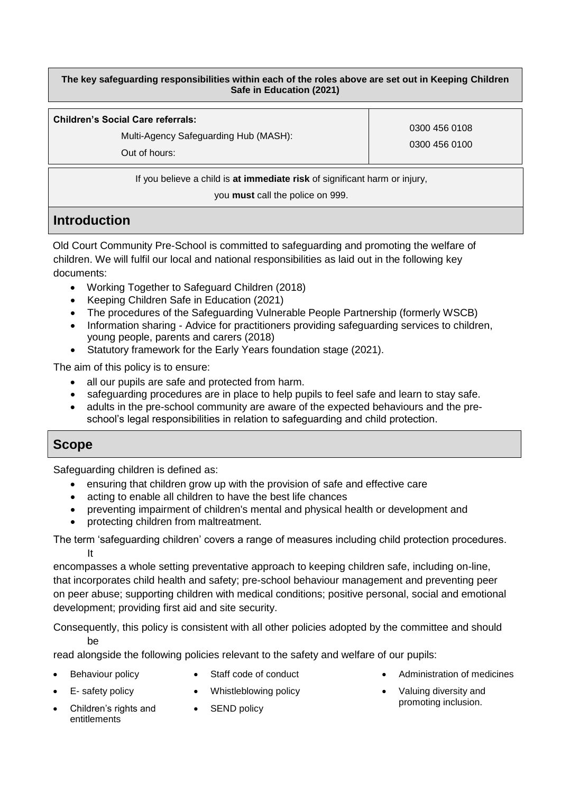**The key safeguarding responsibilities within each of the roles above are set out in Keeping Children Safe in Education (2021)**

**Children's Social Care referrals:** 

Multi-Agency Safeguarding Hub (MASH):

0300 456 0108 0300 456 0100

Out of hours:

If you believe a child is **at immediate risk** of significant harm or injury,

you **must** call the police on 999.

# **Introduction**

Old Court Community Pre-School is committed to safeguarding and promoting the welfare of children. We will fulfil our local and national responsibilities as laid out in the following key documents:

- Working Together to Safeguard Children (2018)
- Keeping Children Safe in Education (2021)
- [The procedures of the](http://www.proceduresonline.com/birmingham/scb/) Safeguarding Vulnerable People Partnership (formerly WSCB)
- Information sharing Advice for practitioners providing safeguarding services to children, young people, parents and carers (2018)
- Statutory framework for the Early Years foundation stage (2021).

The aim of this policy is to ensure:

- all our pupils are safe and protected from harm.
- safeguarding procedures are in place to help pupils to feel safe and learn to stay safe.
- adults in the pre-school community are aware of the expected behaviours and the preschool's legal responsibilities in relation to safeguarding and child protection.

# **Scope**

Safeguarding children is defined as:

- ensuring that children grow up with the provision of safe and effective care
- acting to enable all children to have the best life chances
- preventing impairment of children's mental and physical health or development and
- protecting children from maltreatment.

The term 'safeguarding children' covers a range of measures including child protection procedures. It

encompasses a whole setting preventative approach to keeping children safe, including on-line, that incorporates child health and safety; pre-school behaviour management and preventing peer on peer abuse; supporting children with medical conditions; positive personal, social and emotional development; providing first aid and site security.

Consequently, this policy is consistent with all other policies adopted by the committee and should be

read alongside the following policies relevant to the safety and welfare of our pupils:

- Behaviour policy
- Staff code of conduct
- Administration of medicines

- E- safety policy
- Children's rights and entitlements
- Whistleblowing policy • SEND policy
- Valuing diversity and promoting inclusion.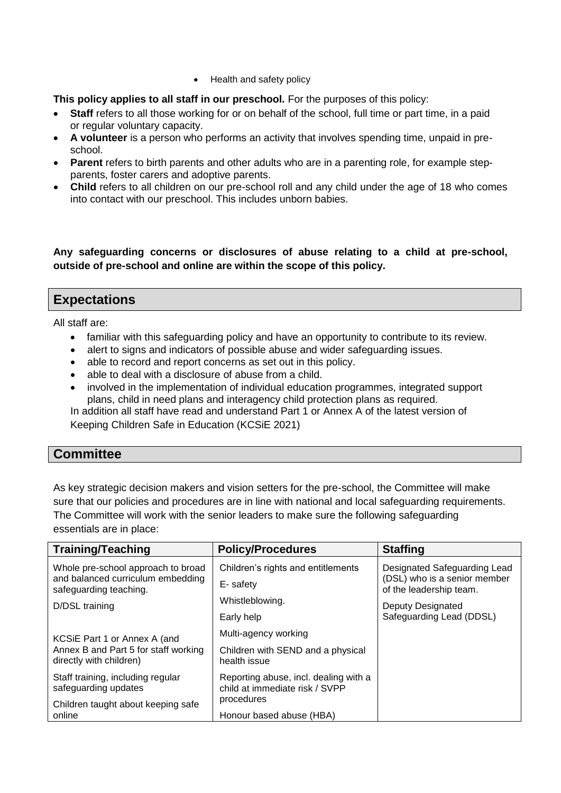• Health and safety policy

## **This policy applies to all staff in our preschool.** For the purposes of this policy:

- Staff refers to all those working for or on behalf of the school, full time or part time, in a paid or regular voluntary capacity.
- **A volunteer** is a person who performs an activity that involves spending time, unpaid in preschool.
- **Parent** refers to birth parents and other adults who are in a parenting role, for example stepparents, foster carers and adoptive parents.
- **Child** refers to all children on our pre-school roll and any child under the age of 18 who comes into contact with our preschool. This includes unborn babies.

**Any safeguarding concerns or disclosures of abuse relating to a child at pre-school, outside of pre-school and online are within the scope of this policy.**

# **Expectations**

All staff are:

- familiar with this safeguarding policy and have an opportunity to contribute to its review.
- alert to signs and indicators of possible abuse and wider safeguarding issues.
- able to record and report concerns as set out in this policy.
- able to deal with a disclosure of abuse from a child.
- involved in the implementation of individual education programmes, integrated support plans, child in need plans and interagency child protection plans as required.

In addition all staff have read and understand Part 1 or Annex A of the latest version of Keeping Children Safe in Education (KCSiE 2021)

# **Committee**

As key strategic decision makers and vision setters for the pre-school, the Committee will make sure that our policies and procedures are in line with national and local safeguarding requirements. The Committee will work with the senior leaders to make sure the following safeguarding essentials are in place:

| <b>Training/Teaching</b>                                                | <b>Policy/Procedures</b>                                                | <b>Staffing</b>                                                                         |
|-------------------------------------------------------------------------|-------------------------------------------------------------------------|-----------------------------------------------------------------------------------------|
| Whole pre-school approach to broad<br>and balanced curriculum embedding | Children's rights and entitlements                                      | Designated Safeguarding Lead<br>(DSL) who is a senior member<br>of the leadership team. |
| safeguarding teaching.                                                  | E-safety                                                                |                                                                                         |
| D/DSL training                                                          | Whistleblowing.                                                         | Deputy Designated                                                                       |
|                                                                         | Early help                                                              | Safeguarding Lead (DDSL)                                                                |
| KCSiE Part 1 or Annex A (and                                            | Multi-agency working                                                    |                                                                                         |
| Annex B and Part 5 for staff working<br>directly with children)         | Children with SEND and a physical<br>health issue                       |                                                                                         |
| Staff training, including regular<br>safeguarding updates               | Reporting abuse, incl. dealing with a<br>child at immediate risk / SVPP |                                                                                         |
| Children taught about keeping safe                                      | procedures                                                              |                                                                                         |
| online                                                                  | Honour based abuse (HBA)                                                |                                                                                         |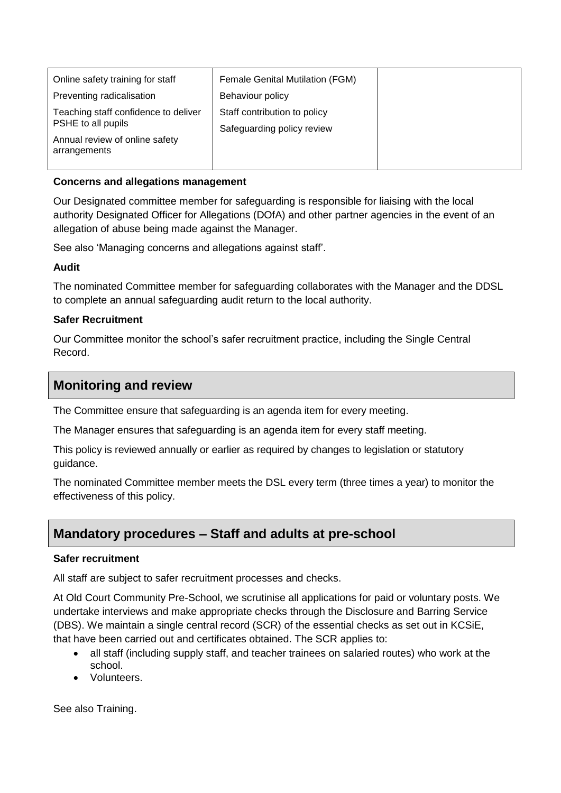| Online safety training for staff                           | Female Genital Mutilation (FGM) |  |
|------------------------------------------------------------|---------------------------------|--|
| Preventing radicalisation                                  | Behaviour policy                |  |
| Teaching staff confidence to deliver<br>PSHE to all pupils | Staff contribution to policy    |  |
|                                                            | Safeguarding policy review      |  |
| Annual review of online safety<br>arrangements             |                                 |  |
|                                                            |                                 |  |

#### **Concerns and allegations management**

Our Designated committee member for safeguarding is responsible for liaising with the local authority Designated Officer for Allegations (DOfA) and other partner agencies in the event of an allegation of abuse being made against the Manager.

See also 'Managing concerns and allegations against staff'.

#### **Audit**

The nominated Committee member for safeguarding collaborates with the Manager and the DDSL to complete an annual safeguarding audit return to the local authority.

# **Safer Recruitment**

Our Committee monitor the school's safer recruitment practice, including the Single Central Record.

# **Monitoring and review**

The Committee ensure that safeguarding is an agenda item for every meeting.

The Manager ensures that safeguarding is an agenda item for every staff meeting.

This policy is reviewed annually or earlier as required by changes to legislation or statutory guidance.

The nominated Committee member meets the DSL every term (three times a year) to monitor the effectiveness of this policy.

# **Mandatory procedures – Staff and adults at pre-school**

#### **Safer recruitment**

All staff are subject to safer recruitment processes and checks.

At Old Court Community Pre-School, we scrutinise all applications for paid or voluntary posts. We undertake interviews and make appropriate checks through the Disclosure and Barring Service (DBS). We maintain a single central record (SCR) of the essential checks as set out in KCSiE, that have been carried out and certificates obtained. The SCR applies to:

- all staff (including supply staff, and teacher trainees on salaried routes) who work at the school.
- Volunteers.

See also Training.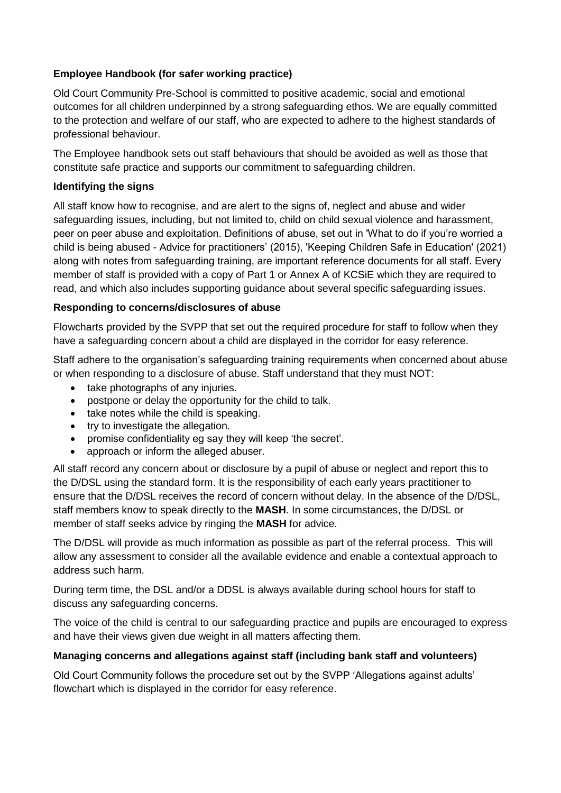# **Employee Handbook (for safer working practice)**

Old Court Community Pre-School is committed to positive academic, social and emotional outcomes for all children underpinned by a strong safeguarding ethos. We are equally committed to the protection and welfare of our staff, who are expected to adhere to the highest standards of professional behaviour.

The Employee handbook sets out staff behaviours that should be avoided as well as those that constitute safe practice and supports our commitment to safeguarding children.

# **Identifying the signs**

All staff know how to recognise, and are alert to the signs of, neglect and abuse and wider safeguarding issues, including, but not limited to, child on child sexual violence and harassment, peer on peer abuse and exploitation. Definitions of abuse, set out in 'What to do if you're worried a child is being abused - Advice for practitioners' (2015), 'Keeping Children Safe in Education' (2021) along with notes from safeguarding training, are important reference documents for all staff. Every member of staff is provided with a copy of Part 1 or Annex A of KCSiE which they are required to read, and which also includes supporting guidance about several specific safeguarding issues.

# **Responding to concerns/disclosures of abuse**

Flowcharts provided by the SVPP that set out the required procedure for staff to follow when they have a safeguarding concern about a child are displayed in the corridor for easy reference.

Staff adhere to the organisation's safeguarding training requirements when concerned about abuse or when responding to a disclosure of abuse. Staff understand that they must NOT:

- take photographs of any injuries.
- postpone or delay the opportunity for the child to talk.
- take notes while the child is speaking.
- try to investigate the allegation.
- promise confidentiality eg say they will keep 'the secret'.
- approach or inform the alleged abuser.

All staff record any concern about or disclosure by a pupil of abuse or neglect and report this to the D/DSL using the standard form. It is the responsibility of each early years practitioner to ensure that the D/DSL receives the record of concern without delay. In the absence of the D/DSL, staff members know to speak directly to the **MASH**. In some circumstances, the D/DSL or member of staff seeks advice by ringing the **MASH** for advice.

The D/DSL will provide as much information as possible as part of the referral process. This will allow any assessment to consider all the available evidence and enable a contextual approach to address such harm.

During term time, the DSL and/or a DDSL is always available during school hours for staff to discuss any safeguarding concerns.

The voice of the child is central to our safeguarding practice and pupils are encouraged to express and have their views given due weight in all matters affecting them.

# **Managing concerns and allegations against staff (including bank staff and volunteers)**

Old Court Community follows the procedure set out by the SVPP 'Allegations against adults' flowchart which is displayed in the corridor for easy reference.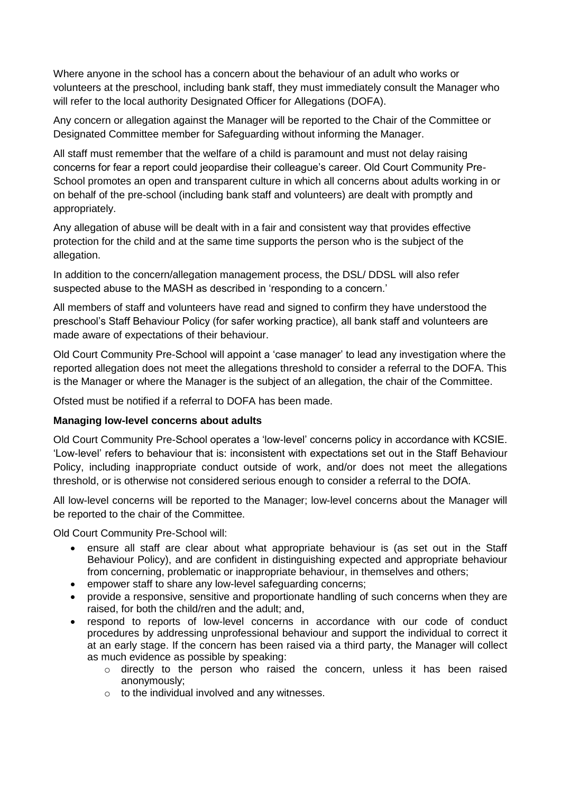Where anyone in the school has a concern about the behaviour of an adult who works or volunteers at the preschool, including bank staff, they must immediately consult the Manager who will refer to the local authority Designated Officer for Allegations (DOFA).

Any concern or allegation against the Manager will be reported to the Chair of the Committee or Designated Committee member for Safeguarding without informing the Manager.

All staff must remember that the welfare of a child is paramount and must not delay raising concerns for fear a report could jeopardise their colleague's career. Old Court Community Pre-School promotes an open and transparent culture in which all concerns about adults working in or on behalf of the pre-school (including bank staff and volunteers) are dealt with promptly and appropriately.

Any allegation of abuse will be dealt with in a fair and consistent way that provides effective protection for the child and at the same time supports the person who is the subject of the allegation.

In addition to the concern/allegation management process, the DSL/ DDSL will also refer suspected abuse to the MASH as described in 'responding to a concern.'

All members of staff and volunteers have read and signed to confirm they have understood the preschool's Staff Behaviour Policy (for safer working practice), all bank staff and volunteers are made aware of expectations of their behaviour.

Old Court Community Pre-School will appoint a 'case manager' to lead any investigation where the reported allegation does not meet the allegations threshold to consider a referral to the DOFA. This is the Manager or where the Manager is the subject of an allegation, the chair of the Committee.

Ofsted must be notified if a referral to DOFA has been made.

# **Managing low-level concerns about adults**

Old Court Community Pre-School operates a 'low-level' concerns policy in accordance with KCSIE. 'Low-level' refers to behaviour that is: inconsistent with expectations set out in the Staff Behaviour Policy, including inappropriate conduct outside of work, and/or does not meet the allegations threshold, or is otherwise not considered serious enough to consider a referral to the DOfA.

All low-level concerns will be reported to the Manager; low-level concerns about the Manager will be reported to the chair of the Committee.

Old Court Community Pre-School will:

- ensure all staff are clear about what appropriate behaviour is (as set out in the Staff Behaviour Policy), and are confident in distinguishing expected and appropriate behaviour from concerning, problematic or inappropriate behaviour, in themselves and others;
- empower staff to share any low-level safeguarding concerns;
- provide a responsive, sensitive and proportionate handling of such concerns when they are raised, for both the child/ren and the adult; and,
- respond to reports of low-level concerns in accordance with our code of conduct procedures by addressing unprofessional behaviour and support the individual to correct it at an early stage. If the concern has been raised via a third party, the Manager will collect as much evidence as possible by speaking:
	- o directly to the person who raised the concern, unless it has been raised anonymously;
	- $\circ$  to the individual involved and any witnesses.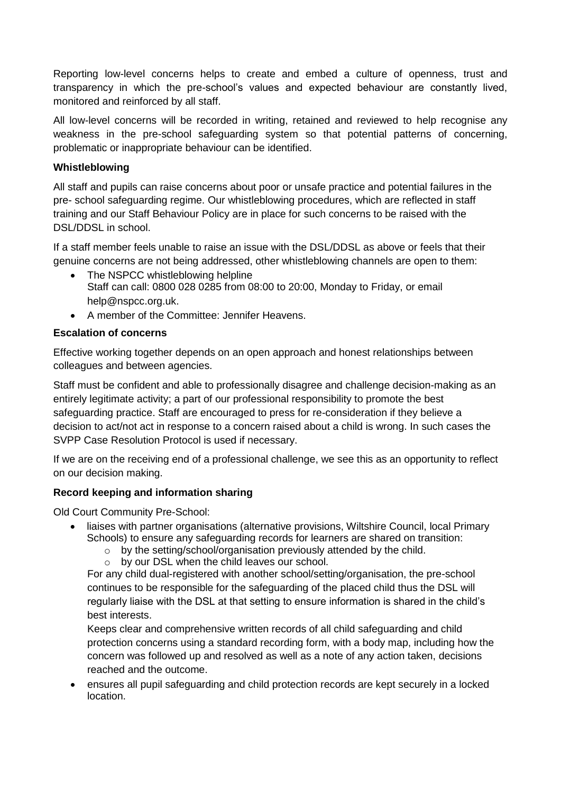Reporting low-level concerns helps to create and embed a culture of openness, trust and transparency in which the pre-school's values and expected behaviour are constantly lived, monitored and reinforced by all staff.

All low-level concerns will be recorded in writing, retained and reviewed to help recognise any weakness in the pre-school safeguarding system so that potential patterns of concerning, problematic or inappropriate behaviour can be identified.

# **Whistleblowing**

All staff and pupils can raise concerns about poor or unsafe practice and potential failures in the pre- school safeguarding regime. Our whistleblowing procedures, which are reflected in staff training and our Staff Behaviour Policy are in place for such concerns to be raised with the DSL/DDSL in school.

If a staff member feels unable to raise an issue with the DSL/DDSL as above or feels that their genuine concerns are not being addressed, other whistleblowing channels are open to them:

- The NSPCC whistleblowing helpline Staff can call: 0800 028 0285 from 08:00 to 20:00, Monday to Friday, or email help@nspcc.org.uk.
- A member of the Committee: Jennifer Heavens.

#### **Escalation of concerns**

Effective working together depends on an open approach and honest relationships between colleagues and between agencies.

Staff must be confident and able to professionally disagree and challenge decision-making as an entirely legitimate activity; a part of our professional responsibility to promote the best safeguarding practice. Staff are encouraged to press for re-consideration if they believe a decision to act/not act in response to a concern raised about a child is wrong. In such cases the SVPP Case Resolution Protocol is used if necessary.

If we are on the receiving end of a professional challenge, we see this as an opportunity to reflect on our decision making.

# **Record keeping and information sharing**

Old Court Community Pre-School:

- liaises with partner organisations (alternative provisions, Wiltshire Council, local Primary Schools) to ensure any safeguarding records for learners are shared on transition:
	- o by the setting/school/organisation previously attended by the child.
	- o by our DSL when the child leaves our school.

For any child dual-registered with another school/setting/organisation, the pre-school continues to be responsible for the safeguarding of the placed child thus the DSL will regularly liaise with the DSL at that setting to ensure information is shared in the child's best interests.

Keeps clear and comprehensive written records of all child safeguarding and child protection concerns using a standard recording form, with a body map, including how the concern was followed up and resolved as well as a note of any action taken, decisions reached and the outcome.

 ensures all pupil safeguarding and child protection records are kept securely in a locked location.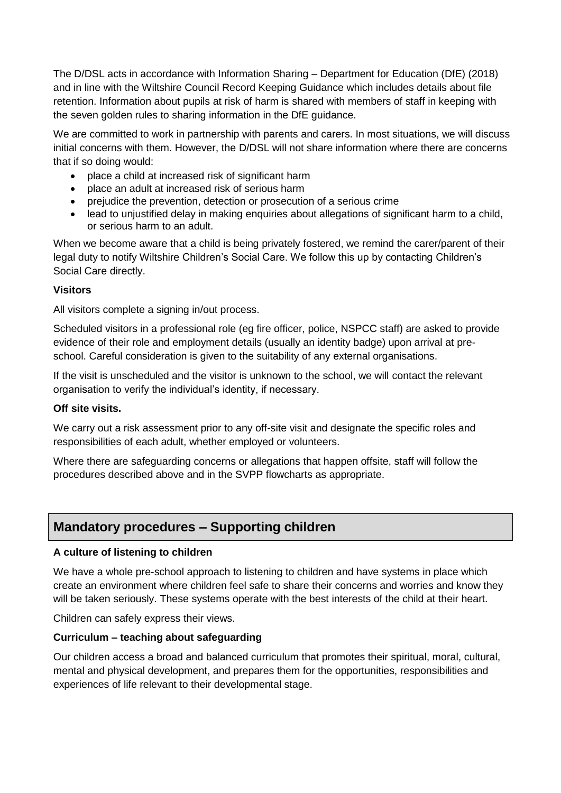The D/DSL acts in accordance with Information Sharing – Department for Education (DfE) (2018) and in line with the Wiltshire Council Record Keeping Guidance which includes details about file retention. Information about pupils at risk of harm is shared with members of staff in keeping with the seven golden rules to sharing information in the DfE guidance.

We are committed to work in partnership with parents and carers. In most situations, we will discuss initial concerns with them. However, the D/DSL will not share information where there are concerns that if so doing would:

- place a child at increased risk of significant harm
- place an adult at increased risk of serious harm
- prejudice the prevention, detection or prosecution of a serious crime
- lead to unjustified delay in making enquiries about allegations of significant harm to a child, or serious harm to an adult.

When we become aware that a child is being privately fostered, we remind the carer/parent of their legal duty to notify Wiltshire Children's Social Care. We follow this up by contacting Children's Social Care directly.

#### **Visitors**

All visitors complete a signing in/out process.

Scheduled visitors in a professional role (eg fire officer, police, NSPCC staff) are asked to provide evidence of their role and employment details (usually an identity badge) upon arrival at preschool. Careful consideration is given to the suitability of any external organisations.

If the visit is unscheduled and the visitor is unknown to the school, we will contact the relevant organisation to verify the individual's identity, if necessary.

#### **Off site visits.**

We carry out a risk assessment prior to any off-site visit and designate the specific roles and responsibilities of each adult, whether employed or volunteers.

Where there are safeguarding concerns or allegations that happen offsite, staff will follow the procedures described above and in the SVPP flowcharts as appropriate.

# **Mandatory procedures – Supporting children**

#### **A culture of listening to children**

We have a whole pre-school approach to listening to children and have systems in place which create an environment where children feel safe to share their concerns and worries and know they will be taken seriously. These systems operate with the best interests of the child at their heart.

Children can safely express their views.

#### **Curriculum – teaching about safeguarding**

Our children access a broad and balanced curriculum that promotes their spiritual, moral, cultural, mental and physical development, and prepares them for the opportunities, responsibilities and experiences of life relevant to their developmental stage.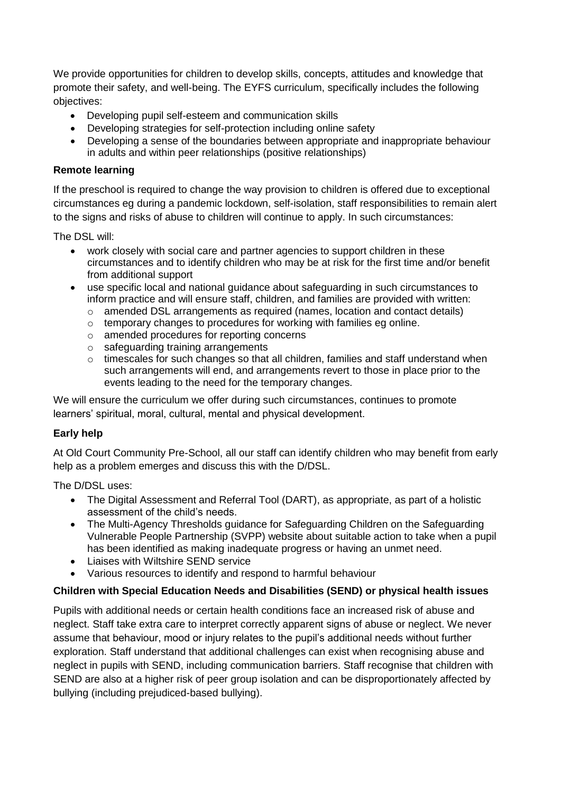We provide opportunities for children to develop skills, concepts, attitudes and knowledge that promote their safety, and well-being. The EYFS curriculum, specifically includes the following objectives:

- Developing pupil self-esteem and communication skills
- Developing strategies for self-protection including online safety
- Developing a sense of the boundaries between appropriate and inappropriate behaviour in adults and within peer relationships (positive relationships)

## **Remote learning**

If the preschool is required to change the way provision to children is offered due to exceptional circumstances eg during a pandemic lockdown, self-isolation, staff responsibilities to remain alert to the signs and risks of abuse to children will continue to apply. In such circumstances:

The DSL will:

- work closely with social care and partner agencies to support children in these circumstances and to identify children who may be at risk for the first time and/or benefit from additional support
- use specific local and national guidance about safeguarding in such circumstances to inform practice and will ensure staff, children, and families are provided with written:
	- o amended DSL arrangements as required (names, location and contact details)
	- o temporary changes to procedures for working with families eg online.
	- o amended procedures for reporting concerns
	- o safeguarding training arrangements
	- $\circ$  timescales for such changes so that all children, families and staff understand when such arrangements will end, and arrangements revert to those in place prior to the events leading to the need for the temporary changes.

We will ensure the curriculum we offer during such circumstances, continues to promote learners' spiritual, moral, cultural, mental and physical development.

# **Early help**

At Old Court Community Pre-School, all our staff can identify children who may benefit from early help as a problem emerges and discuss this with the D/DSL.

The D/DSL uses:

- The Digital Assessment and Referral Tool (DART), as appropriate, as part of a holistic assessment of the child's needs.
- The Multi-Agency Thresholds guidance for Safeguarding Children on the Safeguarding Vulnerable People Partnership (SVPP) website about suitable action to take when a pupil has been identified as making inadequate progress or having an unmet need.
- Liaises with Wiltshire SEND service
- Various resources to identify and respond to harmful behaviour

# **Children with Special Education Needs and Disabilities (SEND) or physical health issues**

Pupils with additional needs or certain health conditions face an increased risk of abuse and neglect. Staff take extra care to interpret correctly apparent signs of abuse or neglect. We never assume that behaviour, mood or injury relates to the pupil's additional needs without further exploration. Staff understand that additional challenges can exist when recognising abuse and neglect in pupils with SEND, including communication barriers. Staff recognise that children with SEND are also at a higher risk of peer group isolation and can be disproportionately affected by bullying (including prejudiced-based bullying).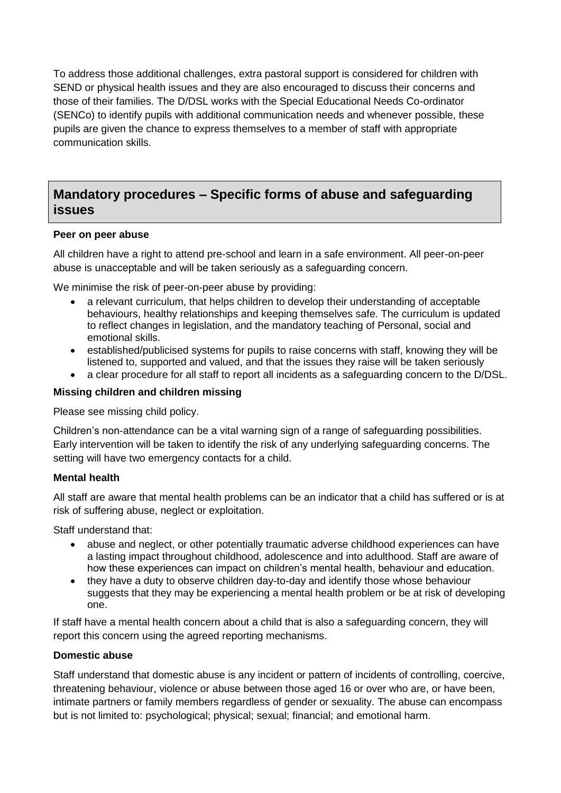To address those additional challenges, extra pastoral support is considered for children with SEND or physical health issues and they are also encouraged to discuss their concerns and those of their families. The D/DSL works with the Special Educational Needs Co-ordinator (SENCo) to identify pupils with additional communication needs and whenever possible, these pupils are given the chance to express themselves to a member of staff with appropriate communication skills.

# **Mandatory procedures – Specific forms of abuse and safeguarding issues**

#### **Peer on peer abuse**

All children have a right to attend pre-school and learn in a safe environment. All peer-on-peer abuse is unacceptable and will be taken seriously as a safeguarding concern.

We minimise the risk of peer-on-peer abuse by providing:

- a relevant curriculum, that helps children to develop their understanding of acceptable behaviours, healthy relationships and keeping themselves safe. The curriculum is updated to reflect changes in legislation, and the mandatory teaching of Personal, social and emotional skills.
- established/publicised systems for pupils to raise concerns with staff, knowing they will be listened to, supported and valued, and that the issues they raise will be taken seriously
- a clear procedure for all staff to report all incidents as a safeguarding concern to the D/DSL.

#### **Missing children and children missing**

Please see missing child policy.

Children's non-attendance can be a vital warning sign of a range of safeguarding possibilities. Early intervention will be taken to identify the risk of any underlying safeguarding concerns. The setting will have two emergency contacts for a child.

#### **Mental health**

All staff are aware that mental health problems can be an indicator that a child has suffered or is at risk of suffering abuse, neglect or exploitation.

Staff understand that:

- abuse and neglect, or other potentially traumatic adverse childhood experiences can have a lasting impact throughout childhood, adolescence and into adulthood. Staff are aware of how these experiences can impact on children's mental health, behaviour and education.
- they have a duty to observe children day-to-day and identify those whose behaviour suggests that they may be experiencing a mental health problem or be at risk of developing one.

If staff have a mental health concern about a child that is also a safeguarding concern, they will report this concern using the agreed reporting mechanisms.

#### **Domestic abuse**

Staff understand that domestic abuse is any incident or pattern of incidents of controlling, coercive, threatening behaviour, violence or abuse between those aged 16 or over who are, or have been, intimate partners or family members regardless of gender or sexuality. The abuse can encompass but is not limited to: psychological; physical; sexual; financial; and emotional harm.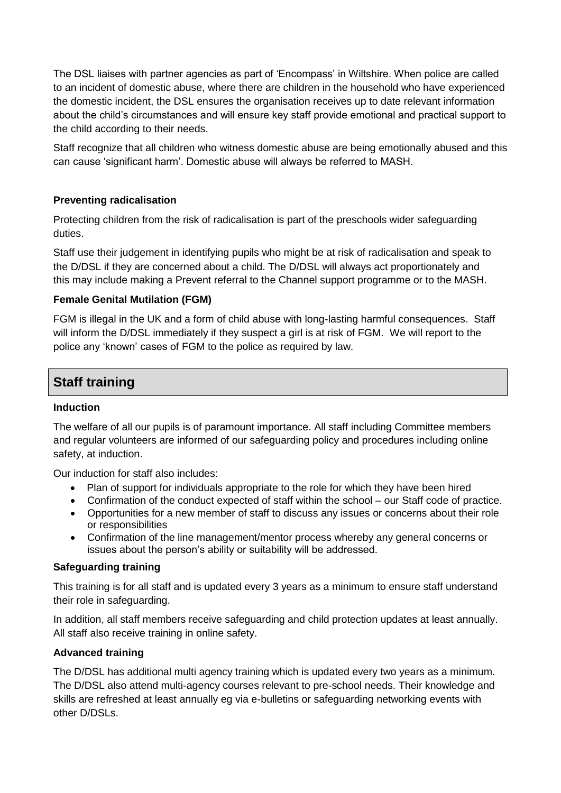The DSL liaises with partner agencies as part of 'Encompass' in Wiltshire. When police are called to an incident of domestic abuse, where there are children in the household who have experienced the domestic incident, the DSL ensures the organisation receives up to date relevant information about the child's circumstances and will ensure key staff provide emotional and practical support to the child according to their needs.

Staff recognize that all children who witness domestic abuse are being emotionally abused and this can cause 'significant harm'. Domestic abuse will always be referred to MASH.

# **Preventing radicalisation**

Protecting children from the risk of radicalisation is part of the preschools wider safeguarding duties.

Staff use their judgement in identifying pupils who might be at risk of radicalisation and speak to the D/DSL if they are concerned about a child. The D/DSL will always act proportionately and this may include making a Prevent referral to the Channel support programme or to the MASH.

#### **Female Genital Mutilation (FGM)**

FGM is illegal in the UK and a form of child abuse with long-lasting harmful consequences. Staff will inform the D/DSL immediately if they suspect a girl is at risk of FGM. We will report to the police any 'known' cases of FGM to the police as required by law.

# **Staff training**

#### **Induction**

The welfare of all our pupils is of paramount importance. All staff including Committee members and regular volunteers are informed of our safeguarding policy and procedures including online safety, at induction.

Our induction for staff also includes:

- Plan of support for individuals appropriate to the role for which they have been hired
- Confirmation of the conduct expected of staff within the school our Staff code of practice.
- Opportunities for a new member of staff to discuss any issues or concerns about their role or responsibilities
- Confirmation of the line management/mentor process whereby any general concerns or issues about the person's ability or suitability will be addressed.

#### **Safeguarding training**

This training is for all staff and is updated every 3 years as a minimum to ensure staff understand their role in safeguarding.

In addition, all staff members receive safeguarding and child protection updates at least annually. All staff also receive training in online safety.

#### **Advanced training**

The D/DSL has additional multi agency training which is updated every two years as a minimum. The D/DSL also attend multi-agency courses relevant to pre-school needs. Their knowledge and skills are refreshed at least annually eg via e-bulletins or safeguarding networking events with other D/DSLs.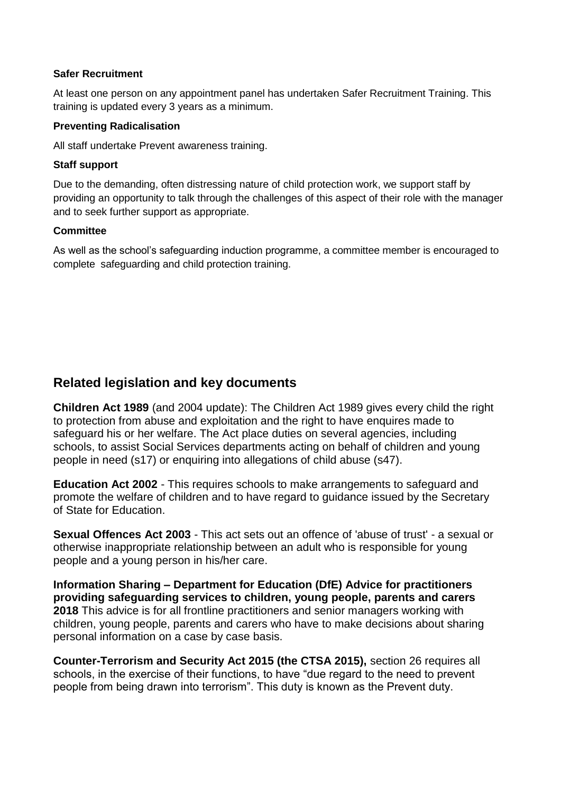#### **Safer Recruitment**

At least one person on any appointment panel has undertaken Safer Recruitment Training. This training is updated every 3 years as a minimum.

#### **Preventing Radicalisation**

All staff undertake Prevent awareness training.

#### **Staff support**

Due to the demanding, often distressing nature of child protection work, we support staff by providing an opportunity to talk through the challenges of this aspect of their role with the manager and to seek further support as appropriate.

#### **Committee**

As well as the school's safeguarding induction programme, a committee member is encouraged to complete safeguarding and child protection training.

# **Related legislation and key documents**

**Children Act 1989** (and 2004 update): The Children Act 1989 gives every child the right to protection from abuse and exploitation and the right to have enquires made to safeguard his or her welfare. The Act place duties on several agencies, including schools, to assist Social Services departments acting on behalf of children and young people in need (s17) or enquiring into allegations of child abuse (s47).

**Education Act 2002** - This requires schools to make arrangements to safeguard and promote the welfare of children and to have regard to guidance issued by the Secretary of State for Education.

**Sexual Offences Act 2003** - This act sets out an offence of 'abuse of trust' - a sexual or otherwise inappropriate relationship between an adult who is responsible for young people and a young person in his/her care.

**Information Sharing – Department for Education (DfE) Advice for practitioners providing safeguarding services to children, young people, parents and carers 2018** This advice is for all frontline practitioners and senior managers working with children, young people, parents and carers who have to make decisions about sharing personal information on a case by case basis.

**Counter-Terrorism and Security Act 2015 (the CTSA 2015),** section 26 requires all schools, in the exercise of their functions, to have "due regard to the need to prevent people from being drawn into terrorism". This duty is known as the Prevent duty.